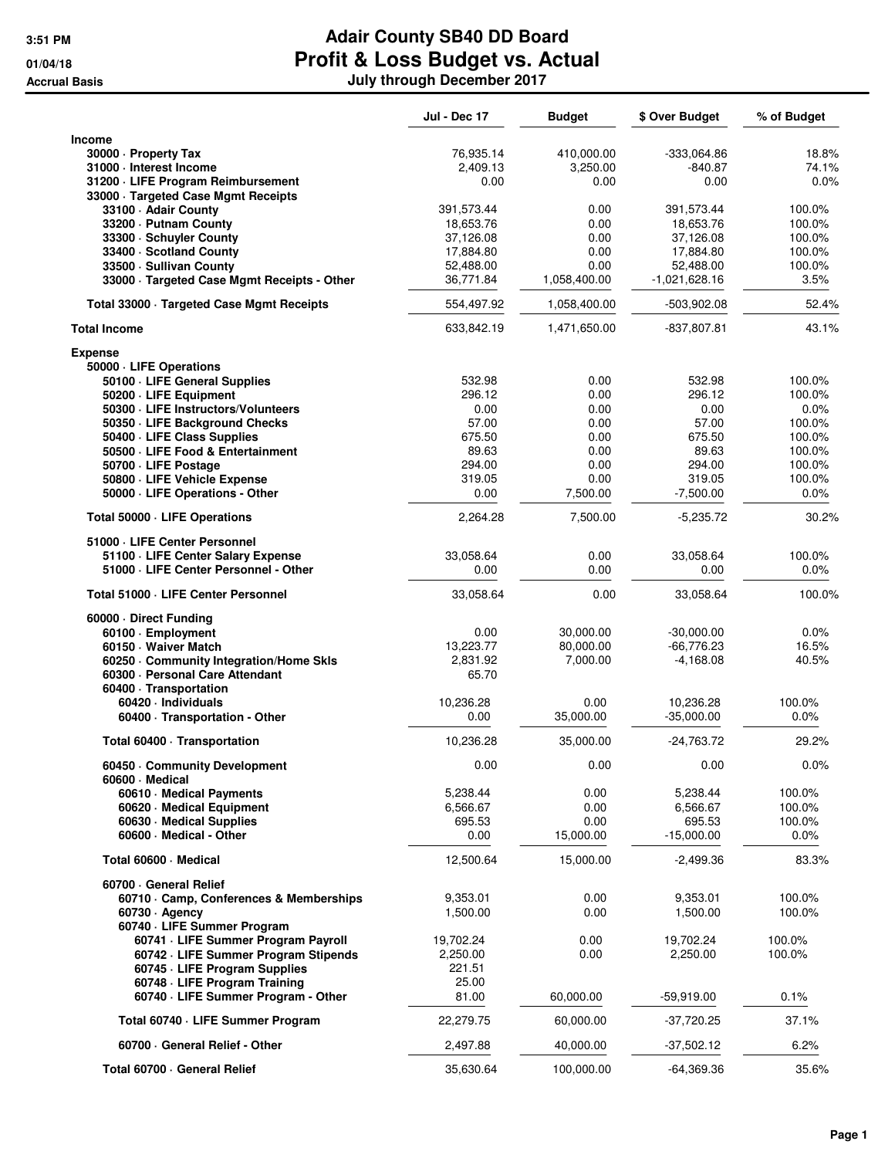|                                                                           | <b>Jul - Dec 17</b> | <b>Budget</b>     | \$ Over Budget         | % of Budget    |
|---------------------------------------------------------------------------|---------------------|-------------------|------------------------|----------------|
| Income                                                                    |                     |                   |                        |                |
| 30000 - Property Tax                                                      | 76,935.14           | 410,000.00        | $-333,064.86$          | 18.8%          |
| 31000 - Interest Income                                                   | 2,409.13            | 3,250.00          | $-840.87$              | 74.1%          |
| 31200 · LIFE Program Reimbursement<br>33000 · Targeted Case Mgmt Receipts | 0.00                | 0.00              | 0.00                   | 0.0%           |
| 33100 Adair County                                                        | 391,573.44          | 0.00              | 391,573.44             | 100.0%         |
| 33200 - Putnam County                                                     | 18,653.76           | 0.00              | 18,653.76              | 100.0%         |
| 33300 · Schuyler County                                                   | 37,126.08           | 0.00              | 37,126.08              | 100.0%         |
| 33400 · Scotland County                                                   | 17,884.80           | 0.00              | 17,884.80              | 100.0%         |
| 33500 - Sullivan County                                                   | 52,488.00           | 0.00              | 52,488.00              | 100.0%         |
| 33000 · Targeted Case Mgmt Receipts - Other                               | 36,771.84           | 1,058,400.00      | -1,021,628.16          | 3.5%           |
| Total 33000 · Targeted Case Mgmt Receipts                                 | 554,497.92          | 1,058,400.00      | -503,902.08            | 52.4%          |
| <b>Total Income</b>                                                       | 633,842.19          | 1,471,650.00      | $-837,807.81$          | 43.1%          |
| <b>Expense</b>                                                            |                     |                   |                        |                |
| 50000 · LIFE Operations                                                   |                     |                   |                        |                |
| 50100 · LIFE General Supplies                                             | 532.98              | 0.00              | 532.98                 | 100.0%         |
| 50200 · LIFE Equipment                                                    | 296.12              | 0.00              | 296.12                 | 100.0%         |
| 50300 · LIFE Instructors/Volunteers                                       | 0.00                | 0.00              | 0.00                   | 0.0%           |
| 50350 · LIFE Background Checks                                            | 57.00               | 0.00              | 57.00                  | 100.0%         |
| 50400 · LIFE Class Supplies                                               | 675.50              | 0.00              | 675.50                 | 100.0%         |
| 50500 LIFE Food & Entertainment                                           | 89.63               | 0.00              | 89.63                  | 100.0%         |
| 50700 · LIFE Postage                                                      | 294.00              | 0.00              | 294.00                 | 100.0%         |
| 50800 - LIFE Vehicle Expense                                              | 319.05              | 0.00              | 319.05                 | 100.0%         |
| 50000 · LIFE Operations - Other                                           | 0.00                | 7,500.00          | $-7,500.00$            | 0.0%           |
| Total 50000 · LIFE Operations                                             | 2,264.28            | 7,500.00          | $-5,235.72$            | 30.2%          |
| 51000 · LIFE Center Personnel                                             |                     |                   |                        |                |
| 51100 - LIFE Center Salary Expense                                        | 33,058.64           | 0.00              | 33,058.64              | 100.0%         |
| 51000 · LIFE Center Personnel - Other                                     | 0.00                | 0.00              | 0.00                   | 0.0%           |
| Total 51000 - LIFE Center Personnel                                       | 33,058.64           | 0.00              | 33,058.64              | 100.0%         |
| 60000 Direct Funding                                                      |                     |                   |                        |                |
| 60100 · Employment                                                        | 0.00                | 30,000.00         | $-30,000.00$           | 0.0%           |
| 60150 · Waiver Match                                                      | 13,223.77           | 80,000.00         | $-66,776.23$           | 16.5%          |
| 60250 Community Integration/Home Skls                                     | 2,831.92            | 7,000.00          | $-4,168.08$            | 40.5%          |
| 60300 · Personal Care Attendant                                           | 65.70               |                   |                        |                |
| 60400 · Transportation                                                    |                     |                   |                        |                |
| 60420 · Individuals                                                       | 10,236.28           | 0.00              | 10,236.28              | 100.0%         |
| 60400 · Transportation - Other                                            | 0.00                | 35,000.00         | $-35,000.00$           | 0.0%           |
| Total 60400 · Transportation                                              | 10,236.28           | 35,000.00         | $-24,763.72$           | 29.2%          |
| 60450 Community Development                                               | 0.00                | 0.00              | 0.00                   | 0.0%           |
| 60600 Medical                                                             |                     |                   |                        |                |
| 60610 · Medical Payments                                                  | 5,238.44            | 0.00              | 5,238.44               | 100.0%         |
| 60620 · Medical Equipment                                                 | 6,566.67            | 0.00              | 6,566.67               | 100.0%         |
| 60630 · Medical Supplies<br>60600 - Medical - Other                       | 695.53<br>0.00      | 0.00<br>15,000.00 | 695.53<br>$-15,000.00$ | 100.0%<br>0.0% |
| Total 60600 · Medical                                                     | 12,500.64           | 15,000.00         | $-2,499.36$            | 83.3%          |
| 60700 General Relief                                                      |                     |                   |                        |                |
| 60710 · Camp, Conferences & Memberships                                   | 9,353.01            | 0.00              | 9,353.01               | 100.0%         |
| $60730 \cdot$ Agency                                                      | 1,500.00            | 0.00              | 1,500.00               | 100.0%         |
| 60740 · LIFE Summer Program                                               |                     |                   |                        |                |
| 60741 · LIFE Summer Program Payroll                                       | 19,702.24           | 0.00              | 19,702.24              | 100.0%         |
| 60742 · LIFE Summer Program Stipends                                      | 2,250.00            | 0.00              | 2,250.00               | 100.0%         |
| 60745 - LIFE Program Supplies                                             | 221.51              |                   |                        |                |
| 60748 - LIFE Program Training                                             | 25.00               |                   |                        |                |
| 60740 · LIFE Summer Program - Other                                       | 81.00               | 60,000.00         | $-59,919.00$           | 0.1%           |
| Total 60740 · LIFE Summer Program                                         | 22,279.75           | 60,000.00         | $-37,720.25$           | 37.1%          |
| 60700 · General Relief - Other                                            | 2,497.88            | 40,000.00         | $-37,502.12$           | 6.2%           |
| Total 60700 General Relief                                                | 35,630.64           | 100,000.00        | $-64,369.36$           | 35.6%          |
|                                                                           |                     |                   |                        |                |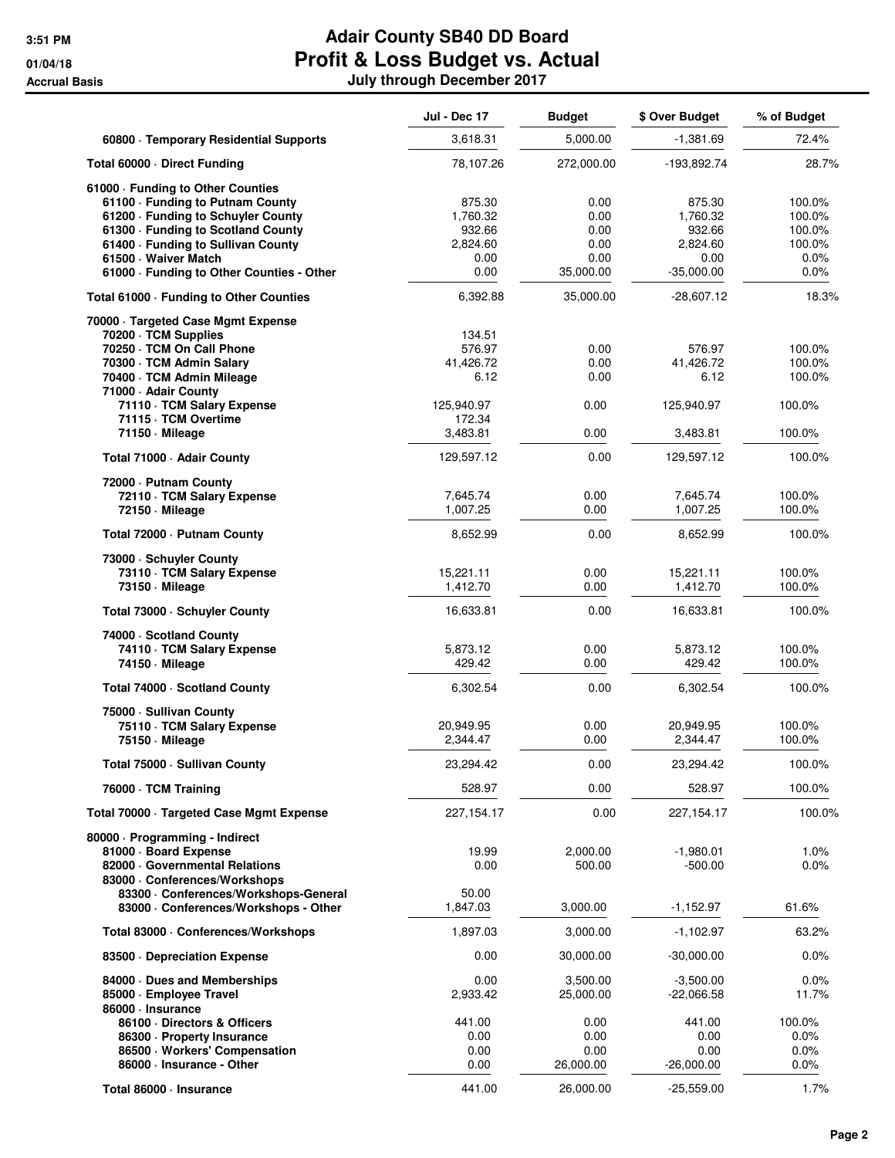|                                                                                                                                                                                                                                                            | <b>Jul - Dec 17</b>                                      | <b>Budget</b>                                     | \$ Over Budget                                                   | % of Budget                                             |
|------------------------------------------------------------------------------------------------------------------------------------------------------------------------------------------------------------------------------------------------------------|----------------------------------------------------------|---------------------------------------------------|------------------------------------------------------------------|---------------------------------------------------------|
| 60800 · Temporary Residential Supports                                                                                                                                                                                                                     | 3,618.31                                                 | 5,000.00                                          | $-1,381.69$                                                      | 72.4%                                                   |
| Total 60000 Direct Funding                                                                                                                                                                                                                                 | 78,107.26                                                | 272,000.00                                        | -193,892.74                                                      | 28.7%                                                   |
| 61000 - Funding to Other Counties<br>61100 - Funding to Putnam County<br>61200 · Funding to Schuyler County<br>61300 · Funding to Scotland County<br>61400 · Funding to Sullivan County<br>61500 Waiver Match<br>61000 · Funding to Other Counties - Other | 875.30<br>1,760.32<br>932.66<br>2,824.60<br>0.00<br>0.00 | 0.00<br>0.00<br>0.00<br>0.00<br>0.00<br>35,000.00 | 875.30<br>1,760.32<br>932.66<br>2,824.60<br>0.00<br>$-35,000.00$ | 100.0%<br>100.0%<br>100.0%<br>100.0%<br>$0.0\%$<br>0.0% |
| Total 61000 · Funding to Other Counties                                                                                                                                                                                                                    | 6,392.88                                                 | 35,000.00                                         | $-28,607.12$                                                     | 18.3%                                                   |
| 70000 · Targeted Case Mgmt Expense<br>70200 · TCM Supplies<br>70250 · TCM On Call Phone<br>70300 · TCM Admin Salary<br>70400 · TCM Admin Mileage<br>71000 - Adair County<br>71110 · TCM Salary Expense                                                     | 134.51<br>576.97<br>41,426.72<br>6.12<br>125,940.97      | 0.00<br>0.00<br>0.00<br>0.00                      | 576.97<br>41,426.72<br>6.12<br>125,940.97                        | 100.0%<br>100.0%<br>100.0%<br>100.0%                    |
| 71115 · TCM Overtime<br>71150 · Mileage                                                                                                                                                                                                                    | 172.34<br>3,483.81                                       | 0.00                                              | 3,483.81                                                         | 100.0%                                                  |
| Total 71000 · Adair County                                                                                                                                                                                                                                 | 129,597.12                                               | 0.00                                              | 129,597.12                                                       | 100.0%                                                  |
| 72000 - Putnam County<br>72110 · TCM Salary Expense<br>72150 - Mileage                                                                                                                                                                                     | 7,645.74<br>1,007.25                                     | 0.00<br>0.00                                      | 7,645.74<br>1,007.25                                             | 100.0%<br>100.0%                                        |
| Total 72000 - Putnam County                                                                                                                                                                                                                                | 8,652.99                                                 | 0.00                                              | 8,652.99                                                         | 100.0%                                                  |
| 73000 - Schuyler County<br>73110 · TCM Salary Expense<br>73150 - Mileage                                                                                                                                                                                   | 15,221.11<br>1,412.70                                    | 0.00<br>0.00                                      | 15,221.11<br>1,412.70                                            | 100.0%<br>100.0%                                        |
| Total 73000 · Schuyler County                                                                                                                                                                                                                              | 16,633.81                                                | 0.00                                              | 16,633.81                                                        | 100.0%                                                  |
| 74000 · Scotland County<br>74110 · TCM Salary Expense<br>74150 - Mileage                                                                                                                                                                                   | 5,873.12<br>429.42                                       | 0.00<br>0.00                                      | 5,873.12<br>429.42                                               | 100.0%<br>100.0%                                        |
| Total 74000 · Scotland County                                                                                                                                                                                                                              | 6,302.54                                                 | 0.00                                              | 6,302.54                                                         | 100.0%                                                  |
| 75000 - Sullivan County<br>75110 · TCM Salary Expense<br>75150 - Mileage                                                                                                                                                                                   | 20,949.95<br>2,344.47                                    | 0.00<br>0.00                                      | 20,949.95<br>2,344.47                                            | 100.0%<br>100.0%                                        |
| Total 75000 Sullivan County                                                                                                                                                                                                                                | 23,294.42                                                | 0.00                                              | 23,294.42                                                        | 100.0%                                                  |
| 76000 · TCM Training                                                                                                                                                                                                                                       | 528.97                                                   | 0.00                                              | 528.97                                                           | 100.0%                                                  |
| Total 70000 · Targeted Case Mgmt Expense                                                                                                                                                                                                                   | 227,154.17                                               | 0.00                                              | 227, 154. 17                                                     | 100.0%                                                  |
| 80000 · Programming - Indirect<br>81000 · Board Expense<br>82000 Governmental Relations<br>83000 · Conferences/Workshops<br>83300 · Conferences/Workshops-General                                                                                          | 19.99<br>0.00<br>50.00                                   | 2,000.00<br>500.00                                | $-1,980.01$<br>$-500.00$                                         | 1.0%<br>0.0%                                            |
| 83000 · Conferences/Workshops - Other                                                                                                                                                                                                                      | 1,847.03                                                 | 3,000.00                                          | $-1,152.97$                                                      | 61.6%                                                   |
| Total 83000 · Conferences/Workshops                                                                                                                                                                                                                        | 1,897.03                                                 | 3,000.00                                          | $-1,102.97$                                                      | 63.2%                                                   |
| 83500 Depreciation Expense                                                                                                                                                                                                                                 | 0.00                                                     | 30,000.00                                         | $-30,000.00$                                                     | 0.0%                                                    |
| 84000 Dues and Memberships<br>85000 - Employee Travel<br>86000 · Insurance<br>86100 Directors & Officers                                                                                                                                                   | 0.00<br>2,933.42<br>441.00                               | 3,500.00<br>25,000.00<br>0.00                     | $-3,500.00$<br>$-22,066.58$<br>441.00                            | 0.0%<br>11.7%<br>100.0%                                 |
| 86300 · Property Insurance<br>86500 · Workers' Compensation<br>86000 · Insurance - Other                                                                                                                                                                   | 0.00<br>0.00<br>0.00                                     | 0.00<br>0.00<br>26,000.00                         | 0.00<br>0.00<br>$-26,000.00$                                     | 0.0%<br>0.0%<br>0.0%                                    |
| Total 86000 · Insurance                                                                                                                                                                                                                                    | 441.00                                                   | 26,000.00                                         | $-25,559.00$                                                     | 1.7%                                                    |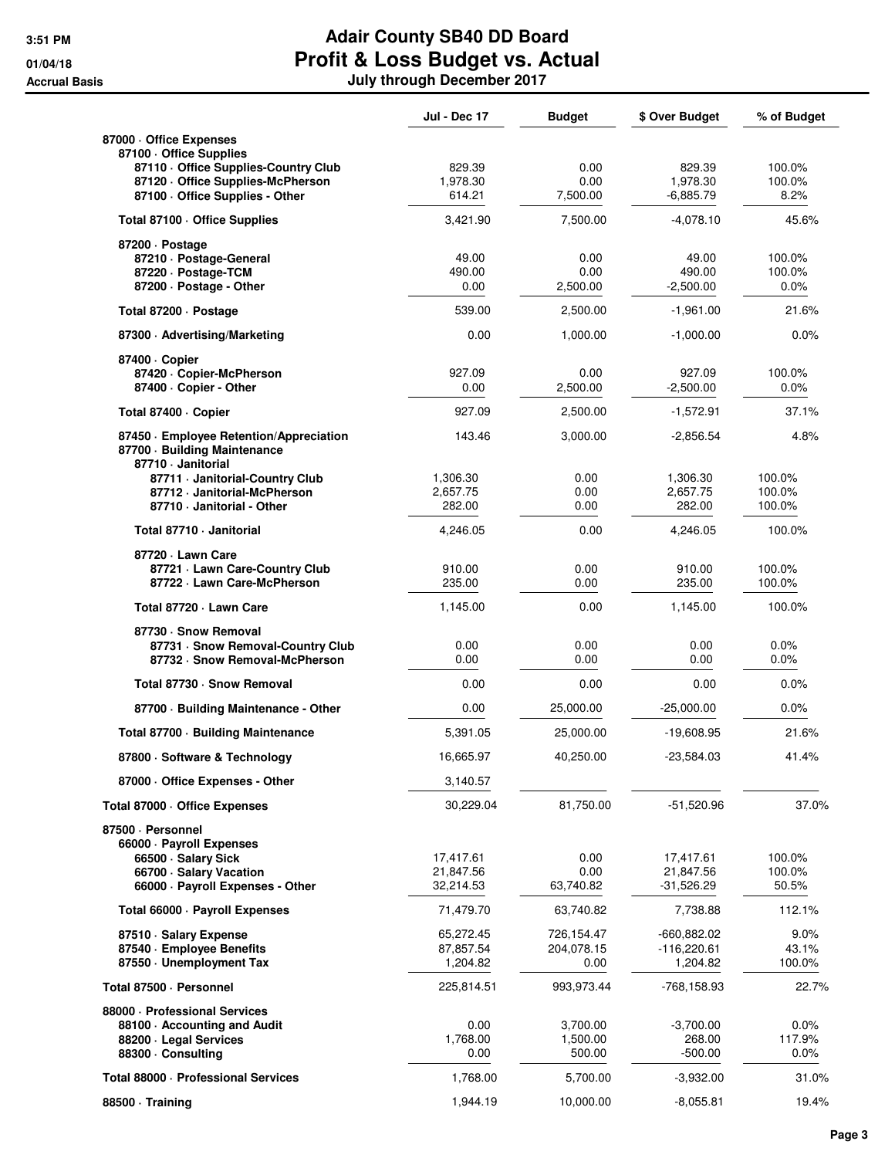|                                                                                               | <b>Jul - Dec 17</b> | <b>Budget</b>    | \$ Over Budget        | % of Budget    |
|-----------------------------------------------------------------------------------------------|---------------------|------------------|-----------------------|----------------|
| 87000 Office Expenses                                                                         |                     |                  |                       |                |
| 87100 Office Supplies                                                                         | 829.39              | 0.00             | 829.39                | 100.0%         |
| 87110 Office Supplies-Country Club<br>87120 Office Supplies-McPherson                         | 1,978.30            | 0.00             | 1,978.30              | 100.0%         |
| 87100 - Office Supplies - Other                                                               | 614.21              | 7,500.00         | $-6,885.79$           | 8.2%           |
| Total 87100 · Office Supplies                                                                 | 3,421.90            | 7,500.00         | $-4,078.10$           | 45.6%          |
| 87200 Dostage                                                                                 |                     |                  |                       |                |
| 87210 · Postage-General                                                                       | 49.00               | 0.00             | 49.00                 | 100.0%         |
| 87220 · Postage-TCM<br>87200 · Postage - Other                                                | 490.00<br>0.00      | 0.00<br>2,500.00 | 490.00<br>$-2.500.00$ | 100.0%<br>0.0% |
| Total 87200 · Postage                                                                         | 539.00              | 2,500.00         | $-1,961.00$           | 21.6%          |
| 87300 · Advertising/Marketing                                                                 | 0.00                | 1,000.00         | $-1,000.00$           | 0.0%           |
| 87400 · Copier                                                                                |                     |                  |                       |                |
| 87420 Copier-McPherson                                                                        | 927.09              | 0.00             | 927.09                | 100.0%         |
| 87400 - Copier - Other                                                                        | 0.00                | 2,500.00         | $-2,500.00$           | $0.0\%$        |
| Total 87400 · Copier                                                                          | 927.09              | 2,500.00         | $-1,572.91$           | 37.1%          |
| 87450 · Employee Retention/Appreciation<br>87700 · Building Maintenance<br>87710 - Janitorial | 143.46              | 3,000.00         | $-2,856.54$           | 4.8%           |
| 87711 · Janitorial-Country Club                                                               | 1,306.30            | 0.00             | 1,306.30              | 100.0%         |
| 87712 · Janitorial-McPherson                                                                  | 2,657.75            | 0.00             | 2,657.75              | 100.0%         |
| 87710 - Janitorial - Other                                                                    | 282.00              | 0.00             | 282.00                | 100.0%         |
| Total 87710 - Janitorial                                                                      | 4,246.05            | 0.00             | 4,246.05              | 100.0%         |
| 87720 - Lawn Care<br>87721 - Lawn Care-Country Club                                           | 910.00              | 0.00             | 910.00                | 100.0%         |
| 87722 · Lawn Care-McPherson                                                                   | 235.00              | 0.00             | 235.00                | 100.0%         |
| Total 87720 - Lawn Care                                                                       | 1,145.00            | 0.00             | 1,145.00              | 100.0%         |
| 87730 · Snow Removal                                                                          |                     |                  |                       |                |
| 87731 · Snow Removal-Country Club                                                             | 0.00                | 0.00             | 0.00                  | 0.0%           |
| 87732 · Snow Removal-McPherson                                                                | 0.00                | 0.00             | 0.00                  | $0.0\%$        |
| Total 87730 - Snow Removal                                                                    | 0.00                | 0.00             | 0.00                  | 0.0%           |
| 87700 - Building Maintenance - Other                                                          | 0.00                | 25,000.00        | $-25,000.00$          | 0.0%           |
| Total 87700 - Building Maintenance                                                            | 5,391.05            | 25,000.00        | $-19,608.95$          | 21.6%          |
| 87800 · Software & Technology                                                                 | 16,665.97           | 40,250.00        | $-23,584.03$          | 41.4%          |
| 87000 Office Expenses - Other                                                                 | 3,140.57            |                  |                       |                |
| Total 87000 Office Expenses                                                                   | 30,229.04           | 81,750.00        | $-51,520.96$          | 37.0%          |
| 87500 · Personnel                                                                             |                     |                  |                       |                |
| 66000 · Payroll Expenses<br>66500 · Salary Sick                                               | 17,417.61           | 0.00             | 17,417.61             | 100.0%         |
| 66700 · Salary Vacation                                                                       | 21,847.56           | 0.00             | 21,847.56             | 100.0%         |
| 66000 · Payroll Expenses - Other                                                              | 32,214.53           | 63,740.82        | $-31,526.29$          | 50.5%          |
| Total 66000 · Payroll Expenses                                                                | 71,479.70           | 63,740.82        | 7,738.88              | 112.1%         |
| 87510 · Salary Expense                                                                        | 65,272.45           | 726,154.47       | -660,882.02           | 9.0%           |
| 87540 · Employee Benefits                                                                     | 87,857.54           | 204,078.15       | $-116,220.61$         | 43.1%          |
| 87550 Unemployment Tax                                                                        | 1,204.82            | 0.00             | 1,204.82              | 100.0%         |
| Total 87500 · Personnel                                                                       | 225,814.51          | 993,973.44       | -768,158.93           | 22.7%          |
| 88000 - Professional Services                                                                 | 0.00                | 3,700.00         | $-3,700.00$           | $0.0\%$        |
| 88100 Accounting and Audit<br>88200 · Legal Services                                          | 1,768.00            | 1,500.00         | 268.00                | 117.9%         |
| 88300 · Consulting                                                                            | 0.00                | 500.00           | $-500.00$             | $0.0\%$        |
| Total 88000 - Professional Services                                                           | 1,768.00            | 5,700.00         | $-3,932.00$           | 31.0%          |
| 88500 · Training                                                                              | 1,944.19            | 10,000.00        | -8,055.81             | 19.4%          |
|                                                                                               |                     |                  |                       |                |